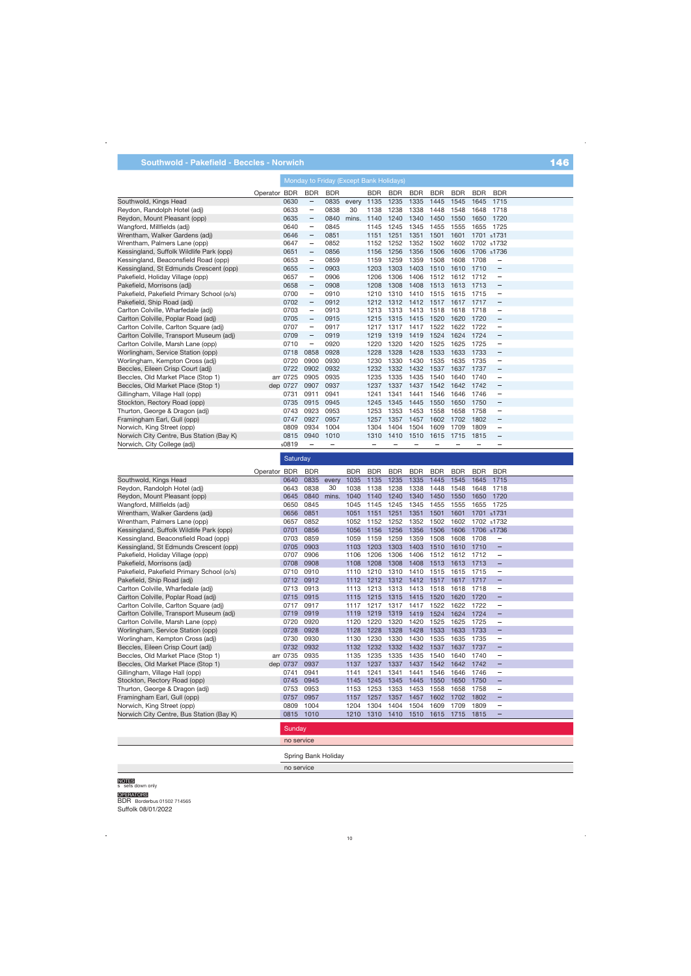## **Southwold - Pakefield - Beccles - Norwich** 146 and 146 and 146 and 146 and 146 and 146 and 146 and 146 and 146

| Operator BDR | <b>BDR</b>                                        | BDR                                          |                                      | <b>BDR</b> | <b>BDR</b>           | <b>BDR</b>                                                      | <b>BDR</b>                   | <b>BDR</b>                                           | <b>BDR</b>                                   | <b>BDR</b>                   |                                        |
|--------------|---------------------------------------------------|----------------------------------------------|--------------------------------------|------------|----------------------|-----------------------------------------------------------------|------------------------------|------------------------------------------------------|----------------------------------------------|------------------------------|----------------------------------------|
| 0630         | $\overline{\phantom{m}}$                          | 0835                                         | every                                | 1135       | 1235                 | 1335                                                            | 1445                         | 1545                                                 | 1645                                         | 1715                         |                                        |
| 0633         | $\overline{\phantom{0}}$                          | 0838                                         | 30                                   | 1138       | 1238                 | 1338                                                            | 1448                         | 1548                                                 | 1648                                         | 1718                         |                                        |
| 0635         | $\overline{\phantom{0}}$                          | 0840                                         | mins.                                | 1140       | 1240                 | 1340                                                            | 1450                         | 1550                                                 | 1650                                         | 1720                         |                                        |
| 0640         | $\overline{\phantom{0}}$                          | 0845                                         |                                      | 1145       | 1245                 | 1345                                                            | 1455                         | 1555                                                 | 1655                                         | 1725                         |                                        |
| 0646         | $\overline{\phantom{0}}$                          | 0851                                         |                                      | 1151       | 1251                 | 1351                                                            | 1501                         | 1601                                                 |                                              |                              |                                        |
| 0647         | $\qquad \qquad -$                                 | 0852                                         |                                      | 1152       | 1252                 | 1352                                                            | 1502                         | 1602                                                 |                                              |                              |                                        |
| 0651         | $\overline{\phantom{0}}$                          | 0856                                         |                                      | 1156       | 1256                 | 1356                                                            | 1506                         | 1606                                                 |                                              |                              |                                        |
| 0653         | $\overline{\phantom{m}}$                          | 0859                                         |                                      | 1159       | 1259                 | 1359                                                            | 1508                         | 1608                                                 | 1708                                         | $\qquad \qquad -$            |                                        |
| 0655         | $\qquad \qquad -$                                 | 0903                                         |                                      | 1203       | 1303                 | 1403                                                            | 1510                         | 1610                                                 | 1710                                         | $\overline{\phantom{m}}$     |                                        |
| 0657         | $\qquad \qquad -$                                 | 0906                                         |                                      | 1206       | 1306                 | 1406                                                            | 1512                         | 1612                                                 | 1712                                         | $\overline{\phantom{0}}$     |                                        |
| 0658         | $\qquad \qquad -$                                 | 0908                                         |                                      | 1208       | 1308                 | 1408                                                            | 1513                         | 1613                                                 | 1713                                         | $\overline{\phantom{m}}$     |                                        |
| 0700         | $\equiv$                                          | 0910                                         |                                      | 1210       | 1310                 | 1410                                                            | 1515                         | 1615                                                 | 1715                                         | $\qquad \qquad -$            |                                        |
| 0702         | $\qquad \qquad -$                                 | 0912                                         |                                      | 1212       | 1312                 | 1412                                                            |                              | 1617                                                 | 1717                                         | $\overline{\phantom{m}}$     |                                        |
| 0703         | $\overline{\phantom{m}}$                          | 0913                                         |                                      | 1213       | 1313                 | 1413                                                            | 1518                         | 1618                                                 | 1718                                         | $\overline{\phantom{0}}$     |                                        |
| 0705         | $\qquad \qquad -$                                 | 0915                                         |                                      | 1215       | 1315                 | 1415                                                            | 1520                         | 1620                                                 | 1720                                         | $\qquad \qquad -$            |                                        |
| 0707         | $\qquad \qquad =$                                 | 0917                                         |                                      | 1217       | 1317                 | 1417                                                            | 1522                         | 1622                                                 | 1722                                         | $\equiv$                     |                                        |
| 0709         | $\overline{\phantom{0}}$                          | 0919                                         |                                      | 1219       | 1319                 | 1419                                                            | 1524                         | 1624                                                 | 1724                                         | $\qquad \qquad -$            |                                        |
| 0710         | $\overline{\phantom{m}}$                          | 0920                                         |                                      | 1220       | 1320                 | 1420                                                            | 1525                         | 1625                                                 | 1725                                         | $\overline{\phantom{0}}$     |                                        |
| 0718         | 0858                                              | 0928                                         |                                      | 1228       | 1328                 | 1428                                                            | 1533                         | 1633                                                 | 1733                                         | $\qquad \qquad -$            |                                        |
| 0720         | 0900                                              | 0930                                         |                                      | 1230       | 1330                 | 1430                                                            | 1535                         | 1635                                                 | 1735                                         | —                            |                                        |
| 0722         | 0902                                              | 0932                                         |                                      | 1232       | 1332                 | 1432                                                            | 1537                         |                                                      | 1737                                         | $\qquad \qquad -$            |                                        |
|              |                                                   |                                              |                                      | 1235       | 1335                 | 1435                                                            |                              | 1640                                                 | 1740                                         | $\overline{\phantom{m}}$     |                                        |
| dep 0727     | 0907                                              | 0937                                         |                                      | 1237       | 1337                 | 1437                                                            | 1542                         | 1642                                                 | 1742                                         | $\qquad \qquad -$            |                                        |
| 0731         | 0911                                              | 0941                                         |                                      | 1241       | 1341                 | 1441                                                            | 1546                         | 1646                                                 | 1746                                         | —                            |                                        |
| 0735         |                                                   |                                              |                                      | 1245       | 1345                 | 1445                                                            |                              |                                                      |                                              | $\qquad \qquad -$            |                                        |
|              |                                                   |                                              |                                      |            |                      |                                                                 |                              |                                                      |                                              | $\qquad \qquad -$            |                                        |
|              |                                                   |                                              |                                      |            |                      |                                                                 |                              |                                                      |                                              | -                            |                                        |
|              |                                                   |                                              |                                      |            |                      |                                                                 |                              |                                                      |                                              | $\overline{\phantom{0}}$     |                                        |
|              |                                                   | 1010                                         |                                      | 1310       | 1410                 |                                                                 |                              |                                                      | 1815                                         | $\qquad \qquad -$            |                                        |
|              |                                                   |                                              |                                      | -          |                      |                                                                 |                              |                                                      |                                              | $\overline{\phantom{0}}$     |                                        |
|              | arr 0725<br>0743<br>0747<br>0809<br>0815<br>s0819 | 0905<br>0915<br>0923<br>0927<br>0934<br>0940 | 0935<br>0945<br>0953<br>0957<br>1004 |            | 1253<br>1257<br>1304 | Monday to Friday (Except Bank Holidays)<br>1353<br>1357<br>1404 | 1453<br>1457<br>1504<br>1510 | 1517<br>1540<br>1550<br>1558<br>1602<br>1609<br>1615 | 1637<br>1650<br>1658<br>1702<br>1709<br>1715 | 1750<br>1758<br>1802<br>1809 | 1701 s1731<br>1702 s1732<br>1706 s1736 |

**Saturday** BDR BDR BDR BDR BDR BDR BDR BDR BDR Operator BDR Southwold, Kings Head 0835 every 1035 Reydon, Randolph Hotel (adj) 0838 30 1038 Reydon, Mount Pleasant (opp) 0840 mins. 1040 mins. Wangford, Millfields (adj) 0845 1045 0851 1051 Wrentham, Walker Gardens (adj) s1731 Wrentham, Palmers Lane (opp) 0852 1052 s1732 Kessingland, Suffolk Wildlife Park (opp) 0856 1056 s1736 0859 1059 Kessingland, Beaconsfield Road (opp) Kessingland, St Edmunds Crescent (opp) 0903 1103 ÷ 0906 1106 Pakefield, Holiday Village (opp)  $\overline{\phantom{0}}$ Pakefield, Morrisons (adj) 0908 1108 Pakefield, Pakefield Primary School (o/s) 0910 1110 Pakefield, Ship Road (adj) 0912 1112 Carlton Colville, Wharfedale (adj) 0913 1113  $\overline{a}$ Carlton Colville, Poplar Road (adj) 0915 1115<br>0917 1117 Carlton Colville, Carlton Square (adj) 0919 1119 Carlton Colville, Transport Museum (adj) Carlton Colville, Marsh Lane (opp) 0920 1120 L Worlingham, Service Station (opp) 0928 1128 Worlingham, Kempton Cross (adj) 0930 1130  $\overline{\phantom{0}}$  0932 1132 Beccles, Eileen Crisp Court (adj) Beccles, Old Market Place (Stop 1) 0935 1135 Beccles, Old Market Place (Stop 1) dep 0737 0937 1137 Gillingham, Village Hall (opp) 0941 1141 Stockton, Rectory Road (opp) 0945 1145 L, 0953 1153 Thurton, George & Dragon (adj)  $\overline{\phantom{0}}$ Framingham Earl, Gull (opp) 0957 1157 Norwich, King Street (opp) 1004 1204 Norwich City Centre, Bus Station (Bay K) 1010 1210 **Sunday** no service

Spring Bank Holiday

no service

NOTES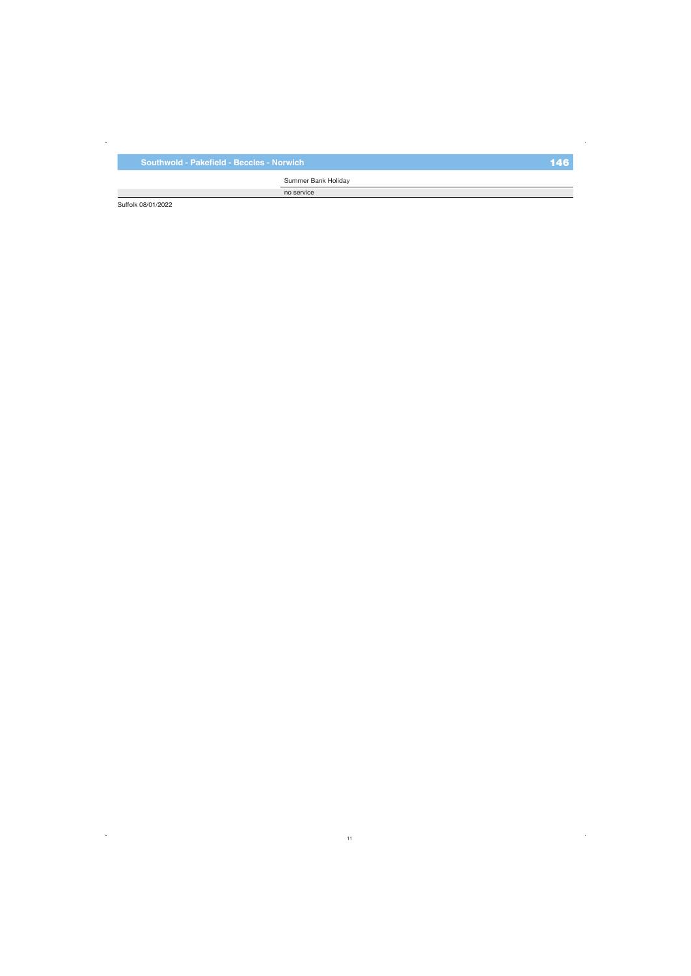Summer Bank Holiday

no service

Suffolk 08/01/2022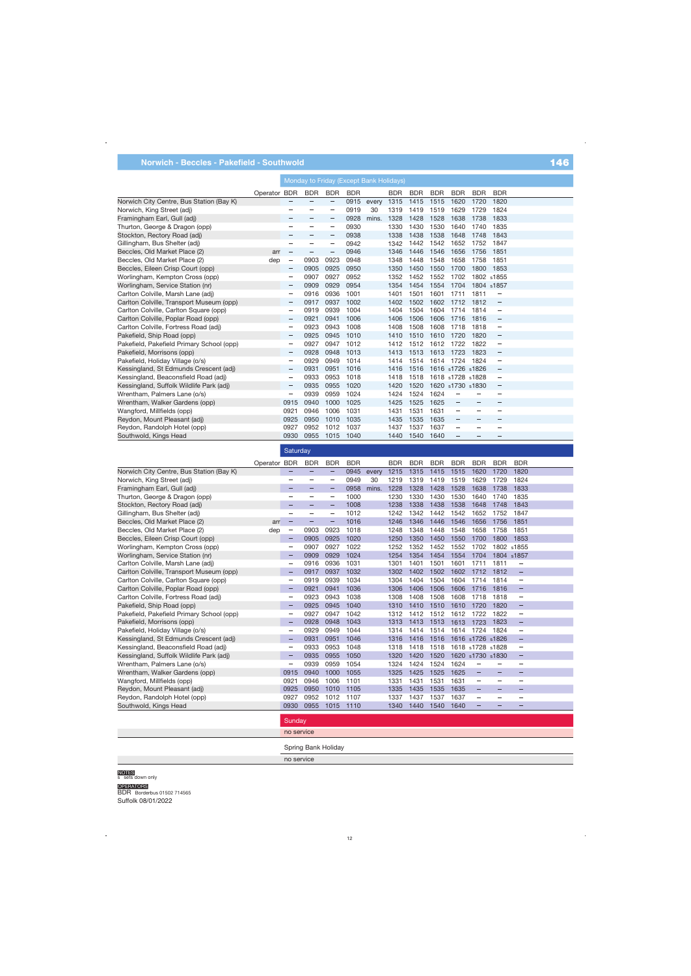|                                           |              | Monday to Friday (Except Bank Holidays) |            |                                 |            |       |            |            |            |                  |            |                          |  |
|-------------------------------------------|--------------|-----------------------------------------|------------|---------------------------------|------------|-------|------------|------------|------------|------------------|------------|--------------------------|--|
|                                           | Operator BDR |                                         | <b>BDR</b> | <b>BDR</b>                      | <b>BDR</b> |       | <b>BDR</b> | <b>BDR</b> | <b>BDR</b> | <b>BDR</b>       | <b>BDR</b> | <b>BDR</b>               |  |
| Norwich City Centre, Bus Station (Bay K)  |              |                                         |            |                                 | 0915       | every | 1315       | 1415       | 1515       | 1620             | 1720       | 1820                     |  |
| Norwich, King Street (adj)                |              |                                         |            |                                 | 0919       | 30    | 1319       | 1419       | 1519       | 1629             | 1729       | 1824                     |  |
| Framingham Earl, Gull (adj)               |              |                                         |            |                                 | 0928       | mins. | 1328       | 1428       | 1528       | 1638             | 1738       | 1833                     |  |
| Thurton, George & Dragon (opp)            |              |                                         | -          | $\hspace{0.1mm}-\hspace{0.1mm}$ | 0930       |       | 1330       | 1430       | 1530       | 1640             | 1740       | 1835                     |  |
| Stockton, Rectory Road (adj)              |              |                                         |            |                                 | 0938       |       | 1338       | 1438       | 1538       | 1648             | 1748       | 1843                     |  |
| Gillingham, Bus Shelter (adj)             |              |                                         |            | $\overline{\phantom{m}}$        | 0942       |       | 1342       | 1442       | 1542       | 1652             | 1752       | 1847                     |  |
| Beccles, Old Market Place (2)             | arr          |                                         |            |                                 | 0946       |       | 1346       | 1446       | 1546       | 1656             | 1756       | 1851                     |  |
| Beccles, Old Market Place (2)             | dep          | $\overline{\phantom{m}}$                | 0903       | 0923                            | 0948       |       | 1348       | 1448       | 1548       | 1658             | 1758       | 1851                     |  |
| Beccles, Eileen Crisp Court (opp)         |              | $\qquad \qquad -$                       | 0905       | 0925                            | 0950       |       | 1350       | 1450       | 1550       | 1700             | 1800       | 1853                     |  |
| Worlingham, Kempton Cross (opp)           |              | $\overline{\phantom{0}}$                | 0907       | 0927                            | 0952       |       | 1352       | 1452       | 1552       | 1702             |            | 1802 s1855               |  |
| Worlingham, Service Station (nr)          |              | $\qquad \qquad -$                       | 0909       | 0929                            | 0954       |       | 1354       | 1454       | 1554       | 1704             |            | 1804 s1857               |  |
| Carlton Colville, Marsh Lane (adj)        |              | -                                       | 0916       | 0936                            | 1001       |       | 1401       | 1501       | 1601       | 1711             | 1811       |                          |  |
| Carlton Colville, Transport Museum (opp)  |              | $\qquad \qquad -$                       | 0917       | 0937                            | 1002       |       | 1402       | 1502       | 1602       | 1712             | 1812       | $\overline{\phantom{m}}$ |  |
| Carlton Colville, Carlton Square (opp)    |              | -                                       | 0919       | 0939                            | 1004       |       | 1404       | 1504       | 1604       | 1714             | 1814       | -                        |  |
| Carlton Colville, Poplar Road (opp)       |              | $\qquad \qquad -$                       | 0921       | 0941                            | 1006       |       | 1406       | 1506       | 1606       | 1716             | 1816       | $\overline{\phantom{m}}$ |  |
| Carlton Colville, Fortress Road (adj)     |              |                                         | 0923       | 0943                            | 1008       |       | 1408       | 1508       | 1608       | 1718             | 1818       | $\qquad \qquad -$        |  |
| Pakefield, Ship Road (opp)                |              | $\qquad \qquad -$                       | 0925       | 0945                            | 1010       |       | 1410       | 1510       | 1610       | 1720             | 1820       | $\overline{\phantom{m}}$ |  |
| Pakefield, Pakefield Primary School (opp) |              | -                                       | 0927       | 0947                            | 1012       |       | 1412       | 1512       | 1612       | 1722             | 1822       | $\qquad \qquad -$        |  |
| Pakefield, Morrisons (opp)                |              | -                                       | 0928       | 0948                            | 1013       |       | 1413       | 1513       | 1613       | 1723             | 1823       | $\overline{\phantom{m}}$ |  |
| Pakefield, Holiday Village (o/s)          |              |                                         | 0929       | 0949                            | 1014       |       | 1414       | 1514       | 1614       | 1724             | 1824       | $\qquad \qquad -$        |  |
| Kessingland, St Edmunds Crescent (adj)    |              |                                         | 0931       | 0951                            | 1016       |       | 1416       | 1516       |            | 1616 s1726 s1826 |            | $\qquad \qquad -$        |  |
| Kessingland, Beaconsfield Road (adj)      |              | -                                       | 0933       | 0953                            | 1018       |       | 1418       | 1518       |            | 1618 s1728 s1828 |            | $\qquad \qquad$          |  |

|                                           |              | Saturday                 |                          |                          |            |       |            |            |            |            |                          |                                   |                          |  |
|-------------------------------------------|--------------|--------------------------|--------------------------|--------------------------|------------|-------|------------|------------|------------|------------|--------------------------|-----------------------------------|--------------------------|--|
|                                           | Operator BDR |                          | <b>BDR</b>               | <b>BDR</b>               | <b>BDR</b> |       | <b>BDR</b> | <b>BDR</b> | <b>BDR</b> | <b>BDR</b> | <b>BDR</b>               | <b>BDR</b>                        | <b>BDR</b>               |  |
| Norwich City Centre, Bus Station (Bay K)  |              |                          |                          | $\qquad \qquad -$        | 0945       | every | 1215       | 1315       | 1415       | 1515       | 1620                     | 1720                              | 1820                     |  |
| Norwich, King Street (adj)                |              |                          |                          | -                        | 0949       | 30    | 1219       | 1319       | 1419       | 1519       | 1629                     | 1729                              | 1824                     |  |
| Framingham Earl, Gull (adj)               |              |                          |                          | $\qquad \qquad -$        | 0958       | mins. | 1228       | 1328       | 1428       | 1528       | 1638                     | 1738                              | 1833                     |  |
| Thurton, George & Dragon (opp)            |              | $\equiv$                 | $\overline{\phantom{0}}$ | $\overline{\phantom{m}}$ | 1000       |       | 1230       | 1330       | 1430       | 1530       | 1640                     | 1740                              | 1835                     |  |
| Stockton, Rectory Road (adj)              |              |                          |                          | $\qquad \qquad -$        | 1008       |       | 1238       | 1338       | 1438       | 1538       | 1648                     | 1748                              | 1843                     |  |
| Gillingham, Bus Shelter (adj)             |              | -                        |                          | $\overline{\phantom{0}}$ | 1012       |       | 1242       | 1342       | 1442       | 1542       | 1652                     | 1752                              | 1847                     |  |
| Beccles, Old Market Place (2)             | arr          |                          |                          | $\qquad \qquad -$        | 1016       |       | 1246       | 1346       | 1446       | 1546       | 1656                     | 1756                              | 1851                     |  |
| Beccles, Old Market Place (2)             | dep          | $\equiv$                 | 0903                     | 0923                     | 1018       |       | 1248       | 1348       | 1448       | 1548       | 1658                     | 1758                              | 1851                     |  |
| Beccles, Eileen Crisp Court (opp)         |              | -                        | 0905                     | 0925                     | 1020       |       | 1250       | 1350       | 1450       | 1550       | 1700                     | 1800                              | 1853                     |  |
| Worlingham, Kempton Cross (opp)           |              | -                        | 0907                     | 0927                     | 1022       |       | 1252       | 1352       | 1452       | 1552       | 1702                     |                                   | 1802 s1855               |  |
| Worlingham, Service Station (nr)          |              |                          | 0909                     | 0929                     | 1024       |       | 1254       | 1354       | 1454       | 1554       | 1704                     |                                   | 1804 s1857               |  |
| Carlton Colville, Marsh Lane (adj)        |              | -                        | 0916                     | 0936                     | 1031       |       | 1301       | 1401       | 1501       | 1601       | 1711                     | 1811                              | —                        |  |
| Carlton Colville, Transport Museum (opp)  |              | -                        | 0917                     | 0937                     | 1032       |       | 1302       | 1402       | 1502       | 1602       | 1712                     | 1812                              | -                        |  |
| Carlton Colville, Carlton Square (opp)    |              | $\overline{\phantom{0}}$ | 0919                     | 0939                     | 1034       |       | 1304       | 1404       | 1504       | 1604       | 1714                     | 1814                              | $\qquad \qquad -$        |  |
| Carlton Colville, Poplar Road (opp)       |              | -                        | 0921                     | 0941                     | 1036       |       | 1306       | 1406       | 1506       | 1606       | 1716                     | 1816                              | —                        |  |
| Carlton Colville, Fortress Road (adj)     |              |                          | 0923                     | 0943                     | 1038       |       | 1308       | 1408       | 1508       | 1608       | 1718                     | 1818                              |                          |  |
| Pakefield, Ship Road (opp)                |              | —                        | 0925                     | 0945                     | 1040       |       | 1310       | 1410       | 1510       | 1610       | 1720                     | 1820                              | $\qquad \qquad -$        |  |
| Pakefield, Pakefield Primary School (opp) |              | —                        | 0927                     | 0947                     | 1042       |       | 1312       | 1412       | 1512       | 1612       | 1722                     | 1822                              | $\qquad \qquad -$        |  |
| Pakefield, Morrisons (opp)                |              | —                        | 0928                     | 0948                     | 1043       |       | 1313       | 1413       | 1513       | 1613       | 1723                     | 1823                              |                          |  |
| Pakefield, Holiday Village (o/s)          |              | -                        | 0929                     | 0949                     | 1044       |       | 1314       | 1414       | 1514       | 1614       | 1724                     | 1824                              | -                        |  |
| Kessingland, St Edmunds Crescent (adj)    |              | -                        | 0931                     | 0951                     | 1046       |       | 1316       | 1416       | 1516       |            | 1616 s1726 s1826         |                                   |                          |  |
| Kessingland, Beaconsfield Road (adj)      |              | $\overline{\phantom{0}}$ | 0933                     | 0953                     | 1048       |       | 1318       | 1418       | 1518       |            | 1618 s1728 s1828         |                                   | $\overline{\phantom{0}}$ |  |
| Kessingland, Suffolk Wildlife Park (adj)  |              | —                        | 0935                     | 0955                     | 1050       |       | 1320       | 1420       | 1520       |            | 1620 s1730 s1830         |                                   | -                        |  |
| Wrentham, Palmers Lane (o/s)              |              | -                        | 0939                     | 0959                     | 1054       |       | 1324       | 1424       | 1524       | 1624       | -                        | $\overbrace{\phantom{123221111}}$ |                          |  |
| Wrentham, Walker Gardens (opp)            |              | 0915                     | 0940                     | 1000                     | 1055       |       | 1325       | 1425       | 1525       | 1625       |                          | $\qquad \qquad -$                 |                          |  |
| Wangford, Millfields (opp)                |              | 0921                     | 0946                     | 1006                     | 1101       |       | 1331       | 1431       | 1531       | 1631       | $\overline{\phantom{0}}$ | $\overline{\phantom{0}}$          | $\overline{\phantom{0}}$ |  |
| Reydon, Mount Pleasant (adj)              |              | 0925                     | 0950                     | 1010                     | 1105       |       | 1335       | 1435       | 1535       | 1635       |                          |                                   |                          |  |
| Reydon, Randolph Hotel (opp)              |              | 0927                     | 0952                     | 1012                     | 1107       |       | 1337       | 1437       | 1537       | 1637       | —                        |                                   |                          |  |
| Southwold, Kings Head                     |              | 0930                     | 0955                     | 1015                     | 1110       |       | 1340       | 1440       | 1540       | 1640       |                          | -                                 |                          |  |
|                                           |              | Sunday                   |                          |                          |            |       |            |            |            |            |                          |                                   |                          |  |

no service

 $\overline{\phantom{0}}$ 

1031 1431 1035 1435<br>1037 1437

1040 1440

1020 1420 1520 1620 s1730 s1830

 $\equiv$ 

 $\overline{\phantom{0}}$ 

Ξ

 $\overline{a}$ 

Ξ

 $\frac{1}{2}$ 

 $\frac{1}{2}$ 

 $\equiv$ 

 $\overline{\phantom{0}}$ 

 $\equiv$ 

Ξ

 $\frac{1}{2}$ 

 $\overline{a}$ 

 $\equiv$ 

 $\overline{\phantom{0}}$ 

 $\overline{\phantom{0}}$ 

 $\overline{a}$ 

L

 $\equiv$ 

Spring Bank Holiday

Kessingland, Suffolk Wildlife Park (adj) Wrentham, Palmers Lane (o/s) Wrentham, Walker Gardens (opp) Wangford, Millfields (opp) Reydon, Mount Pleasant (adj) Reydon, Randolph Hotel (opp) Southwold, Kings Head